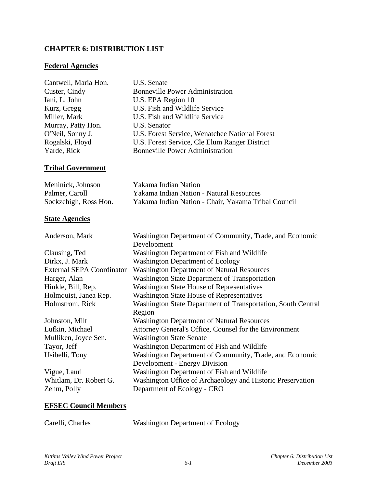### **CHAPTER 6: DISTRIBUTION LIST**

#### **Federal Agencies**

| Cantwell, Maria Hon. | U.S. Senate                                    |
|----------------------|------------------------------------------------|
| Custer, Cindy        | <b>Bonneville Power Administration</b>         |
| Iani, L. John        | U.S. EPA Region 10                             |
| Kurz, Gregg          | U.S. Fish and Wildlife Service                 |
| Miller, Mark         | U.S. Fish and Wildlife Service                 |
| Murray, Patty Hon.   | U.S. Senator                                   |
| O'Neil, Sonny J.     | U.S. Forest Service, Wenatchee National Forest |
| Rogalski, Floyd      | U.S. Forest Service, Cle Elum Ranger District  |
| Yarde, Rick          | <b>Bonneville Power Administration</b>         |

## **Tribal Government**

| Meninick, Johnson     | Yakama Indian Nation                                |
|-----------------------|-----------------------------------------------------|
| Palmer, Caroll        | <b>Yakama Indian Nation - Natural Resources</b>     |
| Sockzehigh, Ross Hon. | Yakama Indian Nation - Chair, Yakama Tribal Council |

#### **State Agencies**

Anderson, Mark Washington Department of Community, Trade, and Economic

|                                  | Development                                                  |  |
|----------------------------------|--------------------------------------------------------------|--|
| Clausing, Ted                    | Washington Department of Fish and Wildlife                   |  |
| Dirkx, J. Mark                   | <b>Washington Department of Ecology</b>                      |  |
| <b>External SEPA Coordinator</b> | <b>Washington Department of Natural Resources</b>            |  |
| Harger, Alan                     | Washington State Department of Transportation                |  |
| Hinkle, Bill, Rep.               | <b>Washington State House of Representatives</b>             |  |
| Holmquist, Janea Rep.            | <b>Washington State House of Representatives</b>             |  |
| Holmstrom, Rick                  | Washington State Department of Transportation, South Central |  |
|                                  | Region                                                       |  |
| Johnston, Milt                   | <b>Washington Department of Natural Resources</b>            |  |
| Lufkin, Michael                  | Attorney General's Office, Counsel for the Environment       |  |
| Mulliken, Joyce Sen.             | <b>Washington State Senate</b>                               |  |
| Tayor, Jeff                      | Washington Department of Fish and Wildlife                   |  |
| Usibelli, Tony                   | Washington Department of Community, Trade, and Economic      |  |
|                                  | <b>Development - Energy Division</b>                         |  |
| Vigue, Lauri                     | Washington Department of Fish and Wildlife                   |  |
| Whitlam, Dr. Robert G.           | Washington Office of Archaeology and Historic Preservation   |  |
| Zehm, Polly                      | Department of Ecology - CRO                                  |  |
|                                  |                                                              |  |

#### **EFSEC Council Members**

Carelli, Charles Washington Department of Ecology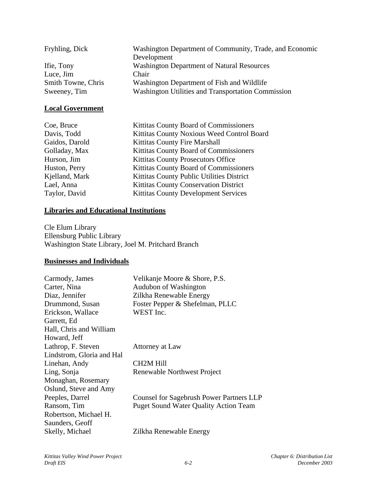| Fryhling, Dick     | Washington Department of Community, Trade, and Economic |
|--------------------|---------------------------------------------------------|
|                    | Development                                             |
| Ifie, Tony         | <b>Washington Department of Natural Resources</b>       |
| Luce, Jim          | Chair                                                   |
| Smith Towne, Chris | Washington Department of Fish and Wildlife              |
| Sweeney, Tim       | Washington Utilities and Transportation Commission      |
|                    |                                                         |

# **Local Government**

| Coe, Bruce     | Kittitas County Board of Commissioners      |
|----------------|---------------------------------------------|
| Davis, Todd    | Kittitas County Noxious Weed Control Board  |
| Gaidos, Darold | Kittitas County Fire Marshall               |
| Golladay, Max  | Kittitas County Board of Commissioners      |
| Hurson, Jim    | <b>Kittitas County Prosecutors Office</b>   |
| Huston, Perry  | Kittitas County Board of Commissioners      |
| Kjelland, Mark | Kittitas County Public Utilities District   |
| Lael, Anna     | Kittitas County Conservation District       |
| Taylor, David  | <b>Kittitas County Development Services</b> |

## **Libraries and Educational Institutions**

Cle Elum Library Ellensburg Public Library Washington State Library, Joel M. Pritchard Branch

#### **Businesses and Individuals**

| Carmody, James            | Velikanje Moore & Shore, P.S.                   |
|---------------------------|-------------------------------------------------|
| Carter, Nina              | Audubon of Washington                           |
| Diaz, Jennifer            | Zilkha Renewable Energy                         |
| Drummond, Susan           | Foster Pepper & Shefelman, PLLC                 |
| Erickson, Wallace         | WEST Inc.                                       |
| Garrett, Ed               |                                                 |
| Hall, Chris and William   |                                                 |
| Howard, Jeff              |                                                 |
| Lathrop, F. Steven        | Attorney at Law                                 |
| Lindstrom, Gloria and Hal |                                                 |
| Linehan, Andy             | CH2M Hill                                       |
| Ling, Sonja               | Renewable Northwest Project                     |
| Monaghan, Rosemary        |                                                 |
| Oslund, Steve and Amy     |                                                 |
| Peeples, Darrel           | <b>Counsel for Sagebrush Power Partners LLP</b> |
| Ransom, Tim               | <b>Puget Sound Water Quality Action Team</b>    |
| Robertson, Michael H.     |                                                 |
| Saunders, Geoff           |                                                 |
| Skelly, Michael           | Zilkha Renewable Energy                         |
|                           |                                                 |